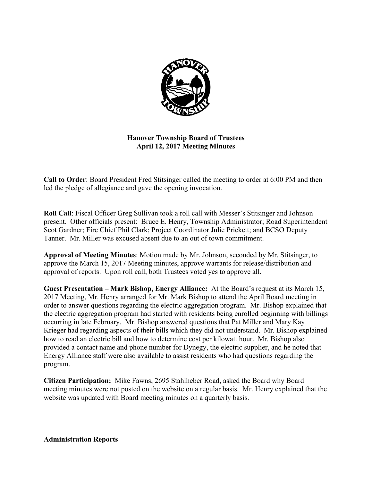

# **Hanover Township Board of Trustees April 12, 2017 Meeting Minutes**

**Call to Order**: Board President Fred Stitsinger called the meeting to order at 6:00 PM and then led the pledge of allegiance and gave the opening invocation.

**Roll Call**: Fiscal Officer Greg Sullivan took a roll call with Messer's Stitsinger and Johnson present. Other officials present: Bruce E. Henry, Township Administrator; Road Superintendent Scot Gardner; Fire Chief Phil Clark; Project Coordinator Julie Prickett; and BCSO Deputy Tanner. Mr. Miller was excused absent due to an out of town commitment.

**Approval of Meeting Minutes**: Motion made by Mr. Johnson, seconded by Mr. Stitsinger, to approve the March 15, 2017 Meeting minutes, approve warrants for release/distribution and approval of reports. Upon roll call, both Trustees voted yes to approve all.

**Guest Presentation – Mark Bishop, Energy Alliance:** At the Board's request at its March 15, 2017 Meeting, Mr. Henry arranged for Mr. Mark Bishop to attend the April Board meeting in order to answer questions regarding the electric aggregation program. Mr. Bishop explained that the electric aggregation program had started with residents being enrolled beginning with billings occurring in late February. Mr. Bishop answered questions that Pat Miller and Mary Kay Krieger had regarding aspects of their bills which they did not understand. Mr. Bishop explained how to read an electric bill and how to determine cost per kilowatt hour. Mr. Bishop also provided a contact name and phone number for Dynegy, the electric supplier, and he noted that Energy Alliance staff were also available to assist residents who had questions regarding the program.

**Citizen Participation:** Mike Fawns, 2695 Stahlheber Road, asked the Board why Board meeting minutes were not posted on the website on a regular basis. Mr. Henry explained that the website was updated with Board meeting minutes on a quarterly basis.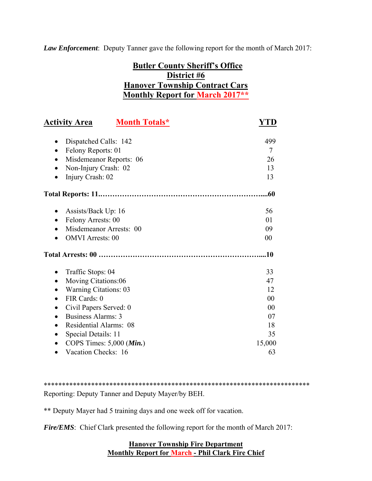*Law Enforcement*: Deputy Tanner gave the following report for the month of March 2017:

# **Butler County Sheriff's Office District #6 Hanover Township Contract Cars Monthly Report for March 2017\*\***

| <b>Activity Area</b>                                          | <b>Month Totals*</b> | YTD            |
|---------------------------------------------------------------|----------------------|----------------|
| Dispatched Calls: 142<br>٠<br>Felony Reports: 01<br>$\bullet$ |                      | 499<br>$\tau$  |
| Misdemeanor Reports: 06<br>$\bullet$                          |                      | 26             |
| Non-Injury Crash: 02                                          |                      | 13             |
| Injury Crash: 02<br>$\bullet$                                 |                      | 13             |
|                                                               |                      | .60            |
| Assists/Back Up: 16<br>٠                                      |                      | 56             |
| Felony Arrests: 00<br>$\bullet$                               |                      | 01             |
| Misdemeanor Arrests: 00                                       |                      | 09             |
| <b>OMVI</b> Arrests: 00                                       |                      | 00             |
|                                                               |                      | .10            |
| Traffic Stops: 04<br>$\bullet$                                |                      | 33             |
| Moving Citations:06<br>$\bullet$                              |                      | 47             |
| <b>Warning Citations: 03</b>                                  |                      | 12             |
| FIR Cards: 0                                                  |                      | 00             |
| Civil Papers Served: 0<br>$\bullet$                           |                      | 0 <sub>0</sub> |
| <b>Business Alarms: 3</b><br>$\bullet$                        |                      | 07             |
| <b>Residential Alarms: 08</b><br>$\bullet$                    |                      | 18             |
| Special Details: 11                                           |                      | 35             |
| COPS Times: 5,000 (Min.)                                      |                      | 15,000         |
| Vacation Checks: 16                                           |                      | 63             |

\*\*\*\*\*\*\*\*\*\*\*\*\*\*\*\*\*\*\*\*\*\*\*\*\*\*\*\*\*\*\*\*\*\*\*\*\*\*\*\*\*\*\*\*\*\*\*\*\*\*\*\*\*\*\*\*\*\*\*\*\*\*\*\*\*\*\*\*\*\*\*\*\* Reporting: Deputy Tanner and Deputy Mayer/by BEH.

\*\* Deputy Mayer had 5 training days and one week off for vacation.

*Fire/EMS*: Chief Clark presented the following report for the month of March 2017:

# **Hanover Township Fire Department Monthly Report for March - Phil Clark Fire Chief**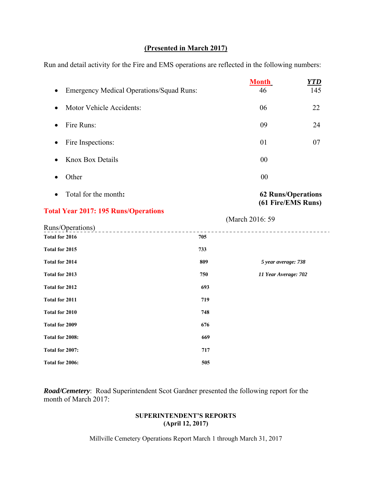# **(Presented in March 2017)**

Run and detail activity for the Fire and EMS operations are reflected in the following numbers:

|                                                     |     | <b>Month</b>                                    | <b>YTD</b> |
|-----------------------------------------------------|-----|-------------------------------------------------|------------|
| <b>Emergency Medical Operations/Squad Runs:</b>     |     | 46                                              | 145        |
| Motor Vehicle Accidents:<br>$\bullet$               |     | 06                                              | 22         |
| Fire Runs:<br>$\bullet$                             |     | 09                                              | 24         |
| Fire Inspections:<br>$\bullet$                      |     | 01                                              | 07         |
| <b>Knox Box Details</b>                             |     | 00                                              |            |
| Other                                               |     | 00                                              |            |
| Total for the month:                                |     | <b>62 Runs/Operations</b><br>(61 Fire/EMS Runs) |            |
| <b>Total Year 2017: 195 Runs/Operations</b>         |     | (March 2016: 59                                 |            |
| <b>Runs/Operations)</b><br>------------------------ |     |                                                 |            |
| Total for 2016                                      | 705 |                                                 |            |
| Total for 2015                                      | 733 |                                                 |            |
| Total for 2014                                      | 809 | 5 year average: 738                             |            |
| Total for 2013                                      | 750 | 11 Year Average: 702                            |            |
| Total for 2012                                      | 693 |                                                 |            |
| Total for 2011                                      | 719 |                                                 |            |
| Total for 2010                                      | 748 |                                                 |            |
| Total for 2009                                      | 676 |                                                 |            |
| Total for 2008:                                     | 669 |                                                 |            |
| Total for 2007:                                     | 717 |                                                 |            |
| Total for 2006:                                     | 505 |                                                 |            |

*Road/Cemetery*: Road Superintendent Scot Gardner presented the following report for the month of March 2017:

### **SUPERINTENDENT'S REPORTS (April 12, 2017)**

Millville Cemetery Operations Report March 1 through March 31, 2017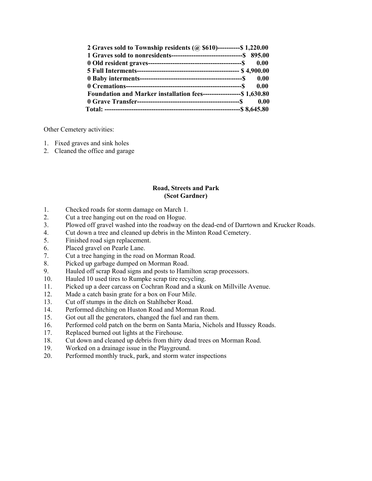| 2 Graves sold to Township residents ( $\omega$ \$610)----------\$ 1,220.00 |  |
|----------------------------------------------------------------------------|--|
|                                                                            |  |
|                                                                            |  |
|                                                                            |  |
|                                                                            |  |
|                                                                            |  |
| Foundation and Marker installation fees-------------------\$ 1,630.80      |  |
|                                                                            |  |
|                                                                            |  |

Other Cemetery activities:

- 1. Fixed graves and sink holes
- 2. Cleaned the office and garage

#### **Road, Streets and Park (Scot Gardner)**

- 1. Checked roads for storm damage on March 1.
- 2. Cut a tree hanging out on the road on Hogue.
- 3. Plowed off gravel washed into the roadway on the dead-end of Darrtown and Krucker Roads.
- 4. Cut down a tree and cleaned up debris in the Minton Road Cemetery.
- 5. Finished road sign replacement.
- 6. Placed gravel on Pearle Lane.
- 7. Cut a tree hanging in the road on Morman Road.
- 8. Picked up garbage dumped on Morman Road.
- 9. Hauled off scrap Road signs and posts to Hamilton scrap processors.
- 10. Hauled 10 used tires to Rumpke scrap tire recycling.
- 11. Picked up a deer carcass on Cochran Road and a skunk on Millville Avenue.
- 12. Made a catch basin grate for a box on Four Mile.
- 13. Cut off stumps in the ditch on Stahlheber Road.
- 14. Performed ditching on Huston Road and Morman Road.
- 15. Got out all the generators, changed the fuel and ran them.
- 16. Performed cold patch on the berm on Santa Maria, Nichols and Hussey Roads.
- 17. Replaced burned out lights at the Firehouse.
- 18. Cut down and cleaned up debris from thirty dead trees on Morman Road.
- 19. Worked on a drainage issue in the Playground.
- 20. Performed monthly truck, park, and storm water inspections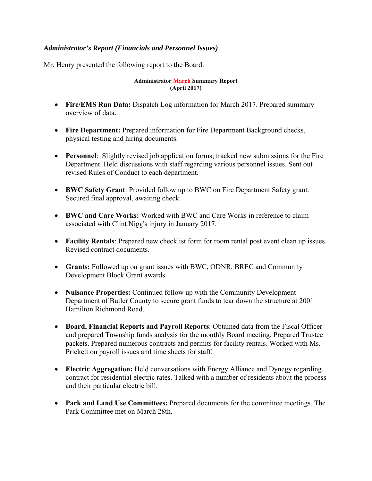# *Administrator's Report (Financials and Personnel Issues)*

Mr. Henry presented the following report to the Board:

#### **Administrator March Summary Report (April 2017)**

- **Fire/EMS Run Data:** Dispatch Log information for March 2017. Prepared summary overview of data.
- **Fire Department:** Prepared information for Fire Department Background checks, physical testing and hiring documents.
- **Personnel**: Slightly revised job application forms; tracked new submissions for the Fire Department. Held discussions with staff regarding various personnel issues. Sent out revised Rules of Conduct to each department.
- **BWC Safety Grant**: Provided follow up to BWC on Fire Department Safety grant. Secured final approval, awaiting check.
- **BWC and Care Works:** Worked with BWC and Care Works in reference to claim associated with Clint Nigg's injury in January 2017.
- **Facility Rentals**: Prepared new checklist form for room rental post event clean up issues. Revised contract documents.
- **Grants:** Followed up on grant issues with BWC, ODNR, BREC and Community Development Block Grant awards.
- **Nuisance Properties:** Continued follow up with the Community Development Department of Butler County to secure grant funds to tear down the structure at 2001 Hamilton Richmond Road.
- **Board, Financial Reports and Payroll Reports**: Obtained data from the Fiscal Officer and prepared Township funds analysis for the monthly Board meeting. Prepared Trustee packets. Prepared numerous contracts and permits for facility rentals. Worked with Ms. Prickett on payroll issues and time sheets for staff.
- **Electric Aggregation:** Held conversations with Energy Alliance and Dynegy regarding contract for residential electric rates. Talked with a number of residents about the process and their particular electric bill.
- **Park and Land Use Committees:** Prepared documents for the committee meetings. The Park Committee met on March 28th.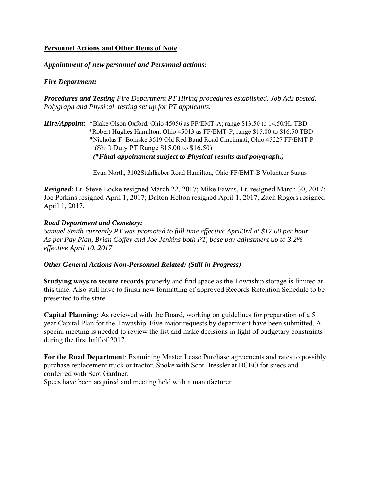# **Personnel Actions and Other Items of Note**

### *Appointment of new personnel and Personnel actions:*

# *Fire Department:*

*Procedures and Testing Fire Department PT Hiring procedures established. Job Ads posted. Polygraph and Physical testing set up for PT applicants.* 

*Hire/Appoint:* \*Blake Olson Oxford, Ohio 45056 as FF/EMT-A; range \$13.50 to 14.50/Hr TBD \*Robert Hughes Hamilton, Ohio 45013 as FF/EMT-P; range \$15.00 to \$16.50 TBD  *\**Nicholas F. Bomske 3619 Old Red Band Road Cincinnati, Ohio 45227 FF/EMT-P (Shift Duty PT Range \$15.00 to \$16.50) *(\*Final appointment subject to Physical results and polygraph.)* 

Evan North, 3102Stahlheber Road Hamilton, Ohio FF/EMT-B Volunteer Status

*Resigned:* Lt. Steve Locke resigned March 22, 2017; Mike Fawns, Lt. resigned March 30, 2017; Joe Perkins resigned April 1, 2017; Dalton Helton resigned April 1, 2017; Zach Rogers resigned April 1, 2017.

### *Road Department and Cemetery:*

*Samuel Smith currently PT was promoted to full time effective April3rd at \$17.00 per hour. As per Pay Plan, Brian Coffey and Joe Jenkins both PT, base pay adjustment up to 3.2% effective April 10, 2017* 

### *Other General Actions Non-Personnel Related: (Still in Progress)*

**Studying ways to secure records** properly and find space as the Township storage is limited at this time. Also still have to finish new formatting of approved Records Retention Schedule to be presented to the state.

**Capital Planning:** As reviewed with the Board, working on guidelines for preparation of a 5 year Capital Plan for the Township. Five major requests by department have been submitted. A special meeting is needed to review the list and make decisions in light of budgetary constraints during the first half of 2017.

**For the Road Department**: Examining Master Lease Purchase agreements and rates to possibly purchase replacement truck or tractor. Spoke with Scot Bressler at BCEO for specs and conferred with Scot Gardner.

Specs have been acquired and meeting held with a manufacturer.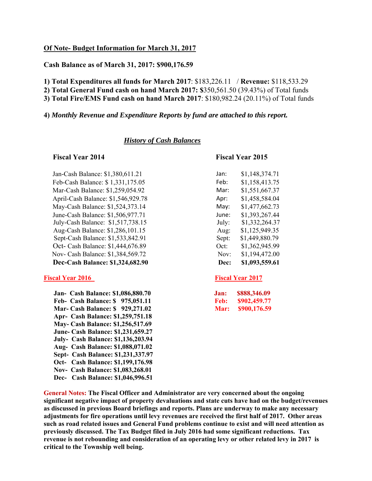#### **Of Note- Budget Information for March 31, 2017**

**Cash Balance as of March 31, 2017: \$900,176.59** 

**1) Total Expenditures all funds for March 2017**: \$183,226.11 / **Revenue:** \$118,533.29

**2) Total General Fund cash on hand March 2017: \$**350,561.50 (39.43%) of Total funds

**3) Total Fire/EMS Fund cash on hand March 2017**: \$180,982.24 (20.11%) of Total funds

#### **4)** *Monthly Revenue and Expenditure Reports by fund are attached to this report.*

#### *History of Cash Balances*

Jan-Cash Balance: \$1,380,611.21 Feb-Cash Balance: \$1,331,175.05 Mar-Cash Balance: \$1,259,054.92 April-Cash Balance: \$1,546,929.78 May-Cash Balance: \$1,524,373.14 June-Cash Balance: \$1,506,977.71 July-Cash Balance:  $$1,517,738.15$ Aug-Cash Balance: \$1,286,101.15 Sept-Cash Balance: \$1,533,842.91 Oct- Cash Balance: \$1,444,676.89 Nov- Cash Balance: \$1,384,569.72 **Dec-Cash Balance: \$1,324,682.90** 

#### **Fiscal Year 2016** Fiscal Year 2016

 **Jan- Cash Balance: \$1,086,880.70 Feb- Cash Balance: \$975,051.11 Mar- Cash Balance: \$929,271.02 Apr- Cash Balance: \$1,259,751.18 May- Cash Balance: \$1,256,517.69 June- Cash Balance: \$1,231,659.27 July- Cash Balance: \$1,136,203.94 Aug- Cash Balance: \$1,088,071.02 Sept- Cash Balance: \$1,231,337.97 Oct- Cash Balance: \$1,199,176.98 Nov- Cash Balance: \$1,083,268.01 Dec- Cash Balance: \$1,046,996.51** 

#### **Fiscal Year 2014 Fiscal Year 2015**

| Jan:  | \$1,148,374.71 |
|-------|----------------|
| Feb:  | \$1,158,413.75 |
| Mar:  | \$1,551,667.37 |
| Apr:  | \$1,458,584.04 |
| Mav:  | \$1,477,662.73 |
| June: | \$1,393,267.44 |
| July: | \$1,332,264.37 |
| Aug:  | \$1,125,949.35 |
| Sept: | \$1,449,880.79 |
| Oct:  | \$1,362,945.99 |
| Nov:  | \$1,194,472.00 |
| Dec:  | \$1,093,559.61 |
|       |                |

| Jan: | \$888,346.09 |
|------|--------------|
| Feb: | \$902,459.77 |
| Mar: | \$900,176.59 |

**General Notes: The Fiscal Officer and Administrator are very concerned about the ongoing significant negative impact of property devaluations and state cuts have had on the budget/revenues as discussed in previous Board briefings and reports. Plans are underway to make any necessary adjustments for fire operations until levy revenues are received the first half of 2017. Other areas such as road related issues and General Fund problems continue to exist and will need attention as previously discussed. The Tax Budget filed in July 2016 had some significant reductions. Tax revenue is not rebounding and consideration of an operating levy or other related levy in 2017 is critical to the Township well being.**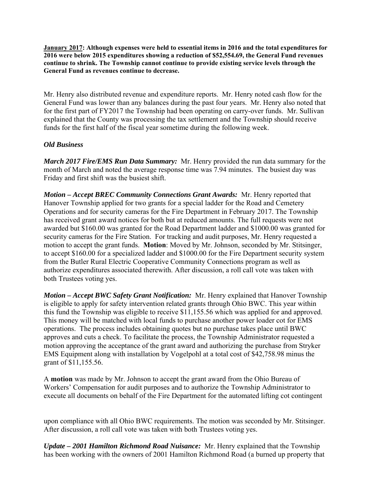**January 2017: Although expenses were held to essential items in 2016 and the total expenditures for 2016 were below 2015 expenditures showing a reduction of \$52,554.69, the General Fund revenues continue to shrink. The Township cannot continue to provide existing service levels through the General Fund as revenues continue to decrease.** 

Mr. Henry also distributed revenue and expenditure reports. Mr. Henry noted cash flow for the General Fund was lower than any balances during the past four years. Mr. Henry also noted that for the first part of FY2017 the Township had been operating on carry-over funds. Mr. Sullivan explained that the County was processing the tax settlement and the Township should receive funds for the first half of the fiscal year sometime during the following week.

# *Old Business*

*March 2017 Fire/EMS Run Data Summary:* Mr. Henry provided the run data summary for the month of March and noted the average response time was 7.94 minutes. The busiest day was Friday and first shift was the busiest shift.

*Motion – Accept BREC Community Connections Grant Awards:* Mr. Henry reported that Hanover Township applied for two grants for a special ladder for the Road and Cemetery Operations and for security cameras for the Fire Department in February 2017. The Township has received grant award notices for both but at reduced amounts. The full requests were not awarded but \$160.00 was granted for the Road Department ladder and \$1000.00 was granted for security cameras for the Fire Station. For tracking and audit purposes, Mr. Henry requested a motion to accept the grant funds. **Motion**: Moved by Mr. Johnson, seconded by Mr. Stitsinger, to accept \$160.00 for a specialized ladder and \$1000.00 for the Fire Department security system from the Butler Rural Electric Cooperative Community Connections program as well as authorize expenditures associated therewith. After discussion, a roll call vote was taken with both Trustees voting yes.

*Motion – Accept BWC Safety Grant Notification:* Mr. Henry explained that Hanover Township is eligible to apply for safety intervention related grants through Ohio BWC. This year within this fund the Township was eligible to receive \$11,155.56 which was applied for and approved. This money will be matched with local funds to purchase another power loader cot for EMS operations. The process includes obtaining quotes but no purchase takes place until BWC approves and cuts a check. To facilitate the process, the Township Administrator requested a motion approving the acceptance of the grant award and authorizing the purchase from Stryker EMS Equipment along with installation by Vogelpohl at a total cost of \$42,758.98 minus the grant of \$11,155.56.

A **motion** was made by Mr. Johnson to accept the grant award from the Ohio Bureau of Workers' Compensation for audit purposes and to authorize the Township Administrator to execute all documents on behalf of the Fire Department for the automated lifting cot contingent

upon compliance with all Ohio BWC requirements. The motion was seconded by Mr. Stitsinger. After discussion, a roll call vote was taken with both Trustees voting yes.

*Update – 2001 Hamilton Richmond Road Nuisance:* Mr. Henry explained that the Township has been working with the owners of 2001 Hamilton Richmond Road (a burned up property that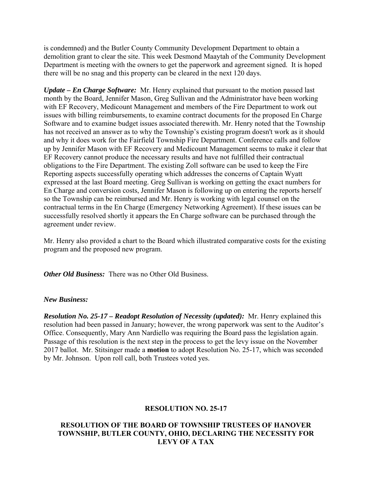is condemned) and the Butler County Community Development Department to obtain a demolition grant to clear the site. This week Desmond Maaytah of the Community Development Department is meeting with the owners to get the paperwork and agreement signed. It is hoped there will be no snag and this property can be cleared in the next 120 days.

*Update – En Charge Software:* Mr. Henry explained that pursuant to the motion passed last month by the Board, Jennifer Mason, Greg Sullivan and the Administrator have been working with EF Recovery, Medicount Management and members of the Fire Department to work out issues with billing reimbursements, to examine contract documents for the proposed En Charge Software and to examine budget issues associated therewith. Mr. Henry noted that the Township has not received an answer as to why the Township's existing program doesn't work as it should and why it does work for the Fairfield Township Fire Department. Conference calls and follow up by Jennifer Mason with EF Recovery and Medicount Management seems to make it clear that EF Recovery cannot produce the necessary results and have not fulfilled their contractual obligations to the Fire Department. The existing Zoll software can be used to keep the Fire Reporting aspects successfully operating which addresses the concerns of Captain Wyatt expressed at the last Board meeting. Greg Sullivan is working on getting the exact numbers for En Charge and conversion costs, Jennifer Mason is following up on entering the reports herself so the Township can be reimbursed and Mr. Henry is working with legal counsel on the contractual terms in the En Charge (Emergency Networking Agreement). If these issues can be successfully resolved shortly it appears the En Charge software can be purchased through the agreement under review.

Mr. Henry also provided a chart to the Board which illustrated comparative costs for the existing program and the proposed new program.

*Other Old Business:* There was no Other Old Business.

### *New Business:*

*Resolution No. 25-17 – Readopt Resolution of Necessity (updated):* Mr. Henry explained this resolution had been passed in January; however, the wrong paperwork was sent to the Auditor's Office. Consequently, Mary Ann Nardiello was requiring the Board pass the legislation again. Passage of this resolution is the next step in the process to get the levy issue on the November 2017 ballot. Mr. Stitsinger made a **motion** to adopt Resolution No. 25-17, which was seconded by Mr. Johnson. Upon roll call, both Trustees voted yes.

# **RESOLUTION NO. 25-17**

# **RESOLUTION OF THE BOARD OF TOWNSHIP TRUSTEES OF HANOVER TOWNSHIP, BUTLER COUNTY, OHIO, DECLARING THE NECESSITY FOR LEVY OF A TAX**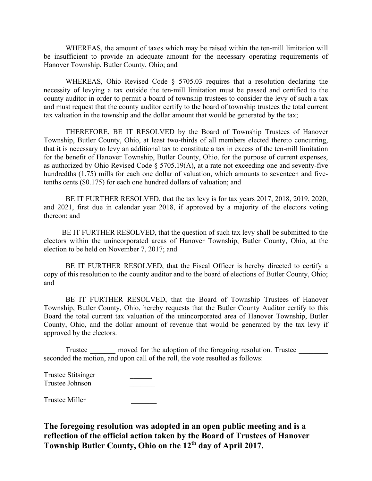WHEREAS, the amount of taxes which may be raised within the ten-mill limitation will be insufficient to provide an adequate amount for the necessary operating requirements of Hanover Township, Butler County, Ohio; and

WHEREAS, Ohio Revised Code § 5705.03 requires that a resolution declaring the necessity of levying a tax outside the ten-mill limitation must be passed and certified to the county auditor in order to permit a board of township trustees to consider the levy of such a tax and must request that the county auditor certify to the board of township trustees the total current tax valuation in the township and the dollar amount that would be generated by the tax;

 THEREFORE, BE IT RESOLVED by the Board of Township Trustees of Hanover Township, Butler County, Ohio, at least two-thirds of all members elected thereto concurring, that it is necessary to levy an additional tax to constitute a tax in excess of the ten-mill limitation for the benefit of Hanover Township, Butler County, Ohio, for the purpose of current expenses, as authorized by Ohio Revised Code § 5705.19(A), at a rate not exceeding one and seventy-five hundredths (1.75) mills for each one dollar of valuation, which amounts to seventeen and fivetenths cents (\$0.175) for each one hundred dollars of valuation; and

 BE IT FURTHER RESOLVED, that the tax levy is for tax years 2017, 2018, 2019, 2020, and 2021, first due in calendar year 2018, if approved by a majority of the electors voting thereon; and

 BE IT FURTHER RESOLVED, that the question of such tax levy shall be submitted to the electors within the unincorporated areas of Hanover Township, Butler County, Ohio, at the election to be held on November 7, 2017; and

 BE IT FURTHER RESOLVED, that the Fiscal Officer is hereby directed to certify a copy of this resolution to the county auditor and to the board of elections of Butler County, Ohio; and

 BE IT FURTHER RESOLVED, that the Board of Township Trustees of Hanover Township, Butler County, Ohio, hereby requests that the Butler County Auditor certify to this Board the total current tax valuation of the unincorporated area of Hanover Township, Butler County, Ohio, and the dollar amount of revenue that would be generated by the tax levy if approved by the electors.

Trustee moved for the adoption of the foregoing resolution. Trustee seconded the motion, and upon call of the roll, the vote resulted as follows:

| <b>Trustee Stitsinger</b> |  |
|---------------------------|--|
| Trustee Johnson           |  |

Trustee Miller \_\_\_\_\_\_\_

**The foregoing resolution was adopted in an open public meeting and is a reflection of the official action taken by the Board of Trustees of Hanover Township Butler County, Ohio on the 12th day of April 2017.**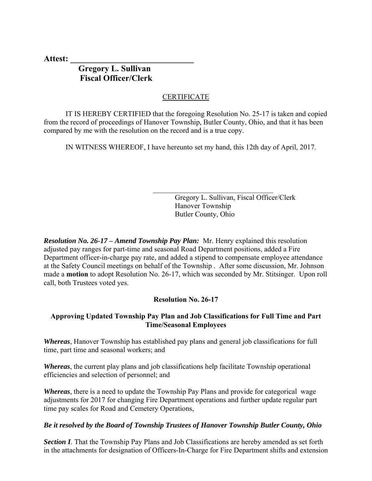**Attest: \_\_\_\_\_\_\_\_\_\_\_\_\_\_\_\_\_\_\_\_\_\_\_\_\_\_\_\_\_** 

# **Gregory L. Sullivan Fiscal Officer/Clerk**

# CERTIFICATE

 IT IS HEREBY CERTIFIED that the foregoing Resolution No. 25-17 is taken and copied from the record of proceedings of Hanover Township, Butler County, Ohio, and that it has been compared by me with the resolution on the record and is a true copy.

 $\mathcal{L}_\text{max} = \frac{1}{2} \sum_{i=1}^{n} \frac{1}{2} \sum_{i=1}^{n} \frac{1}{2} \sum_{i=1}^{n} \frac{1}{2} \sum_{i=1}^{n} \frac{1}{2} \sum_{i=1}^{n} \frac{1}{2} \sum_{i=1}^{n} \frac{1}{2} \sum_{i=1}^{n} \frac{1}{2} \sum_{i=1}^{n} \frac{1}{2} \sum_{i=1}^{n} \frac{1}{2} \sum_{i=1}^{n} \frac{1}{2} \sum_{i=1}^{n} \frac{1}{2} \sum_{i=1}^{n} \frac{1$ 

IN WITNESS WHEREOF, I have hereunto set my hand, this 12th day of April, 2017.

 Gregory L. Sullivan, Fiscal Officer/Clerk Hanover Township Butler County, Ohio

*Resolution No. 26-17 – Amend Township Pay Plan:* Mr. Henry explained this resolution adjusted pay ranges for part-time and seasonal Road Department positions, added a Fire Department officer-in-charge pay rate, and added a stipend to compensate employee attendance at the Safety Council meetings on behalf of the Township . After some discussion, Mr. Johnson made a **motion** to adopt Resolution No. 26-17, which was seconded by Mr. Stitsinger. Upon roll call, both Trustees voted yes.

### **Resolution No. 26-17**

### **Approving Updated Township Pay Plan and Job Classifications for Full Time and Part Time/Seasonal Employees**

*Whereas*, Hanover Township has established pay plans and general job classifications for full time, part time and seasonal workers; and

*Whereas*, the current play plans and job classifications help facilitate Township operational efficiencies and selection of personnel; and

*Whereas*, there is a need to update the Township Pay Plans and provide for categorical wage adjustments for 2017 for changing Fire Department operations and further update regular part time pay scales for Road and Cemetery Operations,

### *Be it resolved by the Board of Township Trustees of Hanover Township Butler County, Ohio*

**Section I**. That the Township Pay Plans and Job Classifications are hereby amended as set forth in the attachments for designation of Officers-In-Charge for Fire Department shifts and extension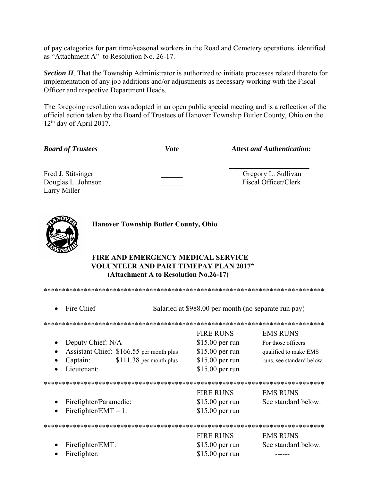of pay categories for part time/seasonal workers in the Road and Cemetery operations identified as "Attachment A" to Resolution No. 26-17.

**Section II**. That the Township Administrator is authorized to initiate processes related thereto for implementation of any job additions and/or adjustments as necessary working with the Fiscal Officer and respective Department Heads.

The foregoing resolution was adopted in an open public special meeting and is a reflection of the official action taken by the Board of Trustees of Hanover Township Butler County, Ohio on the  $12<sup>th</sup>$  day of April 2017.

| <b>Board of Trustees</b>                                 | <b>Vote</b> | <b>Attest and Authentication:</b>           |
|----------------------------------------------------------|-------------|---------------------------------------------|
| Fred J. Stitsinger<br>Douglas L. Johnson<br>Larry Miller |             | Gregory L. Sullivan<br>Fiscal Officer/Clerk |



**Hanover Township Butler County, Ohio** 

# **FIRE AND EMERGENCY MEDICAL SERVICE VOLUNTEER AND PART TIMEPAY PLAN 2017\* (Attachment A to Resolution No.26-17)**

\*\*\*\*\*\*\*\*\*\*\*\*\*\*\*\*\*\*\*\*\*\*\*\*\*\*\*\*\*\*\*\*\*\*\*\*\*\*\*\*\*\*\*\*\*\*\*\*\*\*\*\*\*\*\*\*\*\*\*\*\*\*\*\*\*\*\*\*\*\*\*\*\*\*\*\*\* • Fire Chief Salaried at \$988.00 per month (no separate run pay) \*\*\*\*\*\*\*\*\*\*\*\*\*\*\*\*\*\*\*\* FIRE RUNS EMS RUNS • Deputy Chief: N/A  $$15.00$  per run For those officers • Assistant Chief: \$166.55 per month plus \$15.00 per run qualified to make EMS • Captain: \$111.38 per month plus \$15.00 per run runs, see standard below. Lieutenant: \$15.00 per run \*\*\*\*\*\*\*\*\*\*\*\*\*\*\*\*\*\*\*\*\*\*\*\*\*\*\*\*\*\*\*\*\*\*\*\*\*\*\*\*\*\*\*\*\*\*\*\*\*\*\*\*\*\*\*\*\*\*\*\*\*\*\*\*\*\*\*\*\*\*\*\*\*\*\*\*\* FIRE RUNS EMS RUNS • Firefighter/Paramedic:  $$15.00$  per run See standard below. • Firefighter/EMT – 1:  $$15.00$  per run \*\*\*\*\*\*\*\*\*\*\*\*\*\*\*\*\*\*\*\*\*\*\*\*\*\*\*\*\*\*\*\*\*\*\*\*\*\*\*\*\*\*\*\*\*\*\*\*\*\*\*\*\*\*\*\*\*\*\*\*\*\*\*\*\*\*\*\*\*\*\*\*\*\*\*\*\* FIRE RUNS EMS RUNS • Firefighter/EMT:  $$15.00$  per run See standard below.

• Firefighter: \$15.00 per run ------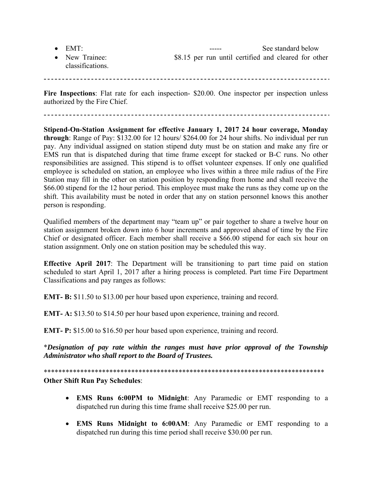| $\bullet$ EMT:                     |  | ----- |                                                      | See standard below |  |
|------------------------------------|--|-------|------------------------------------------------------|--------------------|--|
| • New Trainee:<br>classifications. |  |       | \$8.15 per run until certified and cleared for other |                    |  |

Fire Inspections: Flat rate for each inspection- \$20.00. One inspector per inspection unless authorized by the Fire Chief.

**Stipend-On-Station Assignment for effective January 1, 2017 24 hour coverage, Monday through**: Range of Pay: \$132.00 for 12 hours/ \$264.00 for 24 hour shifts. No individual per run pay. Any individual assigned on station stipend duty must be on station and make any fire or EMS run that is dispatched during that time frame except for stacked or B-C runs. No other responsibilities are assigned. This stipend is to offset volunteer expenses. If only one qualified employee is scheduled on station, an employee who lives within a three mile radius of the Fire Station may fill in the other on station position by responding from home and shall receive the \$66.00 stipend for the 12 hour period. This employee must make the runs as they come up on the shift. This availability must be noted in order that any on station personnel knows this another person is responding.

Qualified members of the department may "team up" or pair together to share a twelve hour on station assignment broken down into 6 hour increments and approved ahead of time by the Fire Chief or designated officer. Each member shall receive a \$66.00 stipend for each six hour on station assignment. Only one on station position may be scheduled this way.

**Effective April 2017**: The Department will be transitioning to part time paid on station scheduled to start April 1, 2017 after a hiring process is completed. Part time Fire Department Classifications and pay ranges as follows:

**EMT- B:** \$11.50 to \$13.00 per hour based upon experience, training and record.

**EMT- A:** \$13.50 to \$14.50 per hour based upon experience, training and record.

**EMT- P:** \$15.00 to \$16.50 per hour based upon experience, training and record.

\**Designation of pay rate within the ranges must have prior approval of the Township Administrator who shall report to the Board of Trustees.* 

\*\*\*\*\*\*\*\*\*\*\*\*\*\*\*\*\*\*\*\*\*\*\*\*\*\*\*\*\*\*\*\*\*\*\*\*\*\*\*\*\*\*\*\*\*\*\*\*\*\*\*\*\*\*\*\*\*\*\*\*\*\*\*\*\*\*\*\*\*\*\*\*\*\*\*\*\* **Other Shift Run Pay Schedules**:

- **EMS Runs 6:00PM to Midnight**: Any Paramedic or EMT responding to a dispatched run during this time frame shall receive \$25.00 per run.
- **EMS Runs Midnight to 6:00AM**: Any Paramedic or EMT responding to a dispatched run during this time period shall receive \$30.00 per run.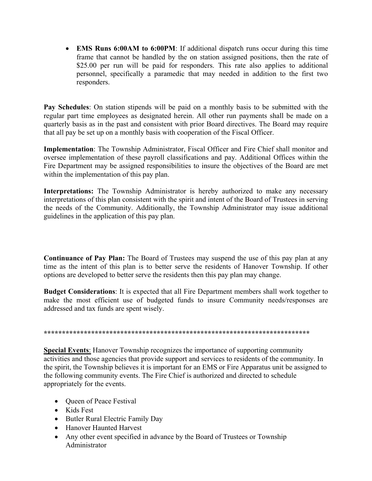**EMS Runs 6:00AM to 6:00PM**: If additional dispatch runs occur during this time frame that cannot be handled by the on station assigned positions, then the rate of \$25.00 per run will be paid for responders. This rate also applies to additional personnel, specifically a paramedic that may needed in addition to the first two responders.

**Pay Schedules**: On station stipends will be paid on a monthly basis to be submitted with the regular part time employees as designated herein. All other run payments shall be made on a quarterly basis as in the past and consistent with prior Board directives. The Board may require that all pay be set up on a monthly basis with cooperation of the Fiscal Officer.

**Implementation**: The Township Administrator, Fiscal Officer and Fire Chief shall monitor and oversee implementation of these payroll classifications and pay. Additional Offices within the Fire Department may be assigned responsibilities to insure the objectives of the Board are met within the implementation of this pay plan.

**Interpretations:** The Township Administrator is hereby authorized to make any necessary interpretations of this plan consistent with the spirit and intent of the Board of Trustees in serving the needs of the Community. Additionally, the Township Administrator may issue additional guidelines in the application of this pay plan.

**Continuance of Pay Plan:** The Board of Trustees may suspend the use of this pay plan at any time as the intent of this plan is to better serve the residents of Hanover Township. If other options are developed to better serve the residents then this pay plan may change.

**Budget Considerations**: It is expected that all Fire Department members shall work together to make the most efficient use of budgeted funds to insure Community needs/responses are addressed and tax funds are spent wisely.

#### **\*\*\*\*\*\*\*\*\*\*\*\*\*\*\*\*\*\*\*\*\*\*\*\*\*\*\*\*\*\*\*\*\*\*\*\*\*\*\*\*\*\*\*\*\*\*\*\*\*\*\*\*\*\*\*\*\*\*\*\*\*\*\*\*\*\*\*\*\*\*\*\*\***

**Special Events**: Hanover Township recognizes the importance of supporting community activities and those agencies that provide support and services to residents of the community. In the spirit, the Township believes it is important for an EMS or Fire Apparatus unit be assigned to the following community events. The Fire Chief is authorized and directed to schedule appropriately for the events.

- Queen of Peace Festival
- Kids Fest
- Butler Rural Electric Family Day
- Hanover Haunted Harvest
- Any other event specified in advance by the Board of Trustees or Township Administrator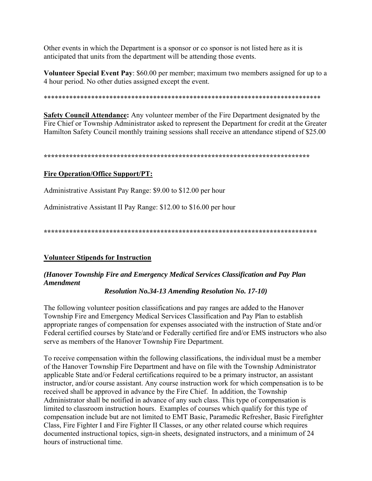Other events in which the Department is a sponsor or co sponsor is not listed here as it is anticipated that units from the department will be attending those events.

**Volunteer Special Event Pay**: \$60.00 per member; maximum two members assigned for up to a 4 hour period. No other duties assigned except the event.

\*\*\*\*\*\*\*\*\*\*\*\*\*\*\*\*\*\*\*\*\*\*\*\*\*\*\*\*\*\*\*\*\*\*\*\*\*\*\*\*\*\*\*\*\*\*\*\*\*\*\*\*\*\*\*\*\*\*\*\*\*\*\*\*\*\*\*\*\*\*\*\*\*\*\*\*

**Safety Council Attendance:** Any volunteer member of the Fire Department designated by the Fire Chief or Township Administrator asked to represent the Department for credit at the Greater Hamilton Safety Council monthly training sessions shall receive an attendance stipend of \$25.00

**\*\*\*\*\*\*\*\*\*\*\*\*\*\*\*\*\*\*\*\*\*\*\*\*\*\*\*\*\*\*\*\*\*\*\*\*\*\*\*\*\*\*\*\*\*\*\*\*\*\*\*\*\*\*\*\*\*\*\*\*\*\*\*\*\*\*\*\*\*\*\*\*\*** 

# **Fire Operation/Office Support/PT:**

Administrative Assistant Pay Range: \$9.00 to \$12.00 per hour

Administrative Assistant II Pay Range: \$12.00 to \$16.00 per hour

**\*\*\*\*\*\*\*\*\*\*\*\*\*\*\*\*\*\*\*\*\*\*\*\*\*\*\*\*\*\*\*\*\*\*\*\*\*\*\*\*\*\*\*\*\*\*\*\*\*\*\*\*\*\*\*\*\*\*\*\*\*\*\*\*\*\*\*\*\*\*\*\*\*\*\*** 

### **Volunteer Stipends for Instruction**

# *(Hanover Township Fire and Emergency Medical Services Classification and Pay Plan Amendment*

*Resolution No.34-13 Amending Resolution No. 17-10)* 

The following volunteer position classifications and pay ranges are added to the Hanover Township Fire and Emergency Medical Services Classification and Pay Plan to establish appropriate ranges of compensation for expenses associated with the instruction of State and/or Federal certified courses by State/and or Federally certified fire and/or EMS instructors who also serve as members of the Hanover Township Fire Department.

To receive compensation within the following classifications, the individual must be a member of the Hanover Township Fire Department and have on file with the Township Administrator applicable State and/or Federal certifications required to be a primary instructor, an assistant instructor, and/or course assistant. Any course instruction work for which compensation is to be received shall be approved in advance by the Fire Chief. In addition, the Township Administrator shall be notified in advance of any such class. This type of compensation is limited to classroom instruction hours. Examples of courses which qualify for this type of compensation include but are not limited to EMT Basic, Paramedic Refresher, Basic Firefighter Class, Fire Fighter I and Fire Fighter II Classes, or any other related course which requires documented instructional topics, sign-in sheets, designated instructors, and a minimum of 24 hours of instructional time.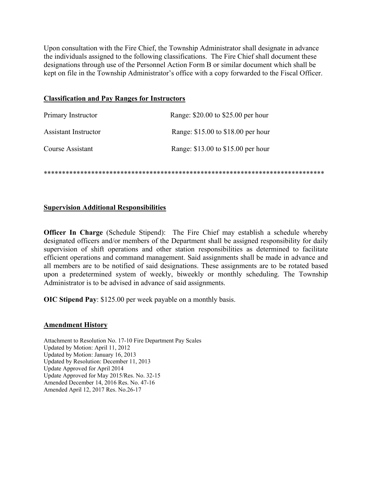Upon consultation with the Fire Chief, the Township Administrator shall designate in advance the individuals assigned to the following classifications. The Fire Chief shall document these designations through use of the Personnel Action Form B or similar document which shall be kept on file in the Township Administrator's office with a copy forwarded to the Fiscal Officer.

#### **Classification and Pay Ranges for Instructors**

| Primary Instructor          | Range: \$20.00 to \$25.00 per hour |
|-----------------------------|------------------------------------|
| <b>Assistant Instructor</b> | Range: \$15.00 to \$18.00 per hour |
| Course Assistant            | Range: \$13.00 to \$15.00 per hour |

\*\*\*\*\*\*\*\*\*\*\*\*\*\*\*\*\*\*\*\*\*\*\*\*\*\*\*\*\*\*\*\*\*\*\*\*\*\*\*\*\*\*\*\*\*\*\*\*\*\*\*\*\*\*\*\*\*\*\*\*\*\*\*\*\*\*\*\*\*\*\*\*\*\*\*\*\*

### **Supervision Additional Responsibilities**

**Officer In Charge** (Schedule Stipend): The Fire Chief may establish a schedule whereby designated officers and/or members of the Department shall be assigned responsibility for daily supervision of shift operations and other station responsibilities as determined to facilitate efficient operations and command management. Said assignments shall be made in advance and all members are to be notified of said designations. These assignments are to be rotated based upon a predetermined system of weekly, biweekly or monthly scheduling. The Township Administrator is to be advised in advance of said assignments.

**OIC Stipend Pay**: \$125.00 per week payable on a monthly basis.

### **Amendment History**

Attachment to Resolution No. 17-10 Fire Department Pay Scales Updated by Motion: April 11, 2012 Updated by Motion: January 16, 2013 Updated by Resolution: December 11, 2013 Update Approved for April 2014 Update Approved for May 2015/Res. No. 32-15 Amended December 14, 2016 Res. No. 47-16 Amended April 12, 2017 Res. No.26-17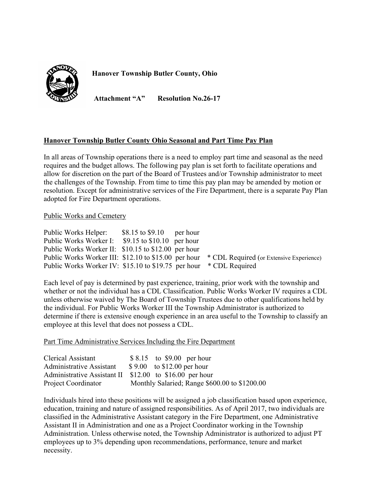

**Hanover Township Butler County, Ohio** 

**Attachment "A" Resolution No.26-17** 

# **Hanover Township Butler County Ohio Seasonal and Part Time Pay Plan**

In all areas of Township operations there is a need to employ part time and seasonal as the need requires and the budget allows. The following pay plan is set forth to facilitate operations and allow for discretion on the part of the Board of Trustees and/or Township administrator to meet the challenges of the Township. From time to time this pay plan may be amended by motion or resolution. Except for administrative services of the Fire Department, there is a separate Pay Plan adopted for Fire Department operations.

#### Public Works and Cemetery

| Public Works Helper:                                               | $$8.15$ to $$9.10$ per hour |                                                                                               |
|--------------------------------------------------------------------|-----------------------------|-----------------------------------------------------------------------------------------------|
| Public Works Worker I: \$9.15 to \$10.10 per hour                  |                             |                                                                                               |
| Public Works Worker II: \$10.15 to \$12.00 per hour                |                             |                                                                                               |
|                                                                    |                             | Public Works Worker III: \$12.10 to \$15.00 per hour * CDL Required (or Extensive Experience) |
| Public Works Worker IV: \$15.10 to \$19.75 per hour * CDL Required |                             |                                                                                               |

Each level of pay is determined by past experience, training, prior work with the township and whether or not the individual has a CDL Classification. Public Works Worker IV requires a CDL unless otherwise waived by The Board of Township Trustees due to other qualifications held by the individual. For Public Works Worker III the Township Administrator is authorized to determine if there is extensive enough experience in an area useful to the Township to classify an employee at this level that does not possess a CDL.

Part Time Administrative Services Including the Fire Department

| Clerical Assistant       | $$8.15$ to \$9.00 per hour                              |
|--------------------------|---------------------------------------------------------|
| Administrative Assistant | $$9.00$ to \$12.00 per hour                             |
|                          | Administrative Assistant II \$12.00 to \$16.00 per hour |
| Project Coordinator      | Monthly Salaried; Range \$600.00 to \$1200.00           |

Individuals hired into these positions will be assigned a job classification based upon experience, education, training and nature of assigned responsibilities. As of April 2017, two individuals are classified in the Administrative Assistant category in the Fire Department, one Administrative Assistant II in Administration and one as a Project Coordinator working in the Township Administration. Unless otherwise noted, the Township Administrator is authorized to adjust PT employees up to 3% depending upon recommendations, performance, tenure and market necessity.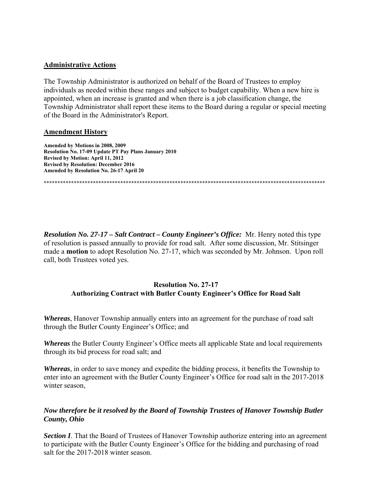### **Administrative Actions**

The Township Administrator is authorized on behalf of the Board of Trustees to employ individuals as needed within these ranges and subject to budget capability. When a new hire is appointed, when an increase is granted and when there is a job classification change, the Township Administrator shall report these items to the Board during a regular or special meeting of the Board in the Administrator's Report.

#### **Amendment History**

**Amended by Motions in 2008, 2009 Resolution No. 17-09 Update PT Pay Plans January 2010 Revised by Motion: April 11, 2012 Revised by Resolution: December 2016 Amended by Resolution No. 26-17 April 20** 

**\*\*\*\*\*\*\*\*\*\*\*\*\*\*\*\*\*\*\*\*\*\*\*\*\*\*\*\*\*\*\*\*\*\*\*\*\*\*\*\*\*\*\*\*\*\*\*\*\*\*\*\*\*\*\*\*\*\*\*\*\*\*\*\*\*\*\*\*\*\*\*\*\*\*\*\*\*\*\*\*\*\*\*\*\*\*\*\*\*\*\*\*\*\*\*\*\*\*\*\*\*\*\*** 

*Resolution No. 27-17 – Salt Contract – County Engineer's Office:* Mr. Henry noted this type of resolution is passed annually to provide for road salt. After some discussion, Mr. Stitsinger made a **motion** to adopt Resolution No. 27-17, which was seconded by Mr. Johnson. Upon roll call, both Trustees voted yes.

# **Resolution No. 27-17 Authorizing Contract with Butler County Engineer's Office for Road Salt**

*Whereas*, Hanover Township annually enters into an agreement for the purchase of road salt through the Butler County Engineer's Office; and

*Whereas* the Butler County Engineer's Office meets all applicable State and local requirements through its bid process for road salt; and

*Whereas*, in order to save money and expedite the bidding process, it benefits the Township to enter into an agreement with the Butler County Engineer's Office for road salt in the 2017-2018 winter season,

# *Now therefore be it resolved by the Board of Township Trustees of Hanover Township Butler County, Ohio*

**Section I**. That the Board of Trustees of Hanover Township authorize entering into an agreement to participate with the Butler County Engineer's Office for the bidding and purchasing of road salt for the 2017-2018 winter season.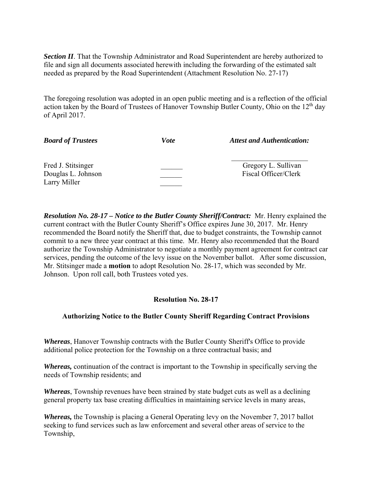**Section II**. That the Township Administrator and Road Superintendent are hereby authorized to file and sign all documents associated herewith including the forwarding of the estimated salt needed as prepared by the Road Superintendent (Attachment Resolution No. 27-17)

The foregoing resolution was adopted in an open public meeting and is a reflection of the official action taken by the Board of Trustees of Hanover Township Butler County, Ohio on the 12<sup>th</sup> day of April 2017.

| <b>Board of Trustees</b>                                 | <i>Vote</i> | <b>Attest and Authentication:</b>           |
|----------------------------------------------------------|-------------|---------------------------------------------|
| Fred J. Stitsinger<br>Douglas L. Johnson<br>Larry Miller |             | Gregory L. Sullivan<br>Fiscal Officer/Clerk |

*Resolution No. 28-17 – Notice to the Butler County Sheriff/Contract:* Mr. Henry explained the current contract with the Butler County Sheriff's Office expires June 30, 2017. Mr. Henry recommended the Board notify the Sheriff that, due to budget constraints, the Township cannot commit to a new three year contract at this time. Mr. Henry also recommended that the Board authorize the Township Administrator to negotiate a monthly payment agreement for contract car services, pending the outcome of the levy issue on the November ballot. After some discussion, Mr. Stitsinger made a **motion** to adopt Resolution No. 28-17, which was seconded by Mr. Johnson. Upon roll call, both Trustees voted yes.

# **Resolution No. 28-17**

# **Authorizing Notice to the Butler County Sheriff Regarding Contract Provisions**

*Whereas*, Hanover Township contracts with the Butler County Sheriff's Office to provide additional police protection for the Township on a three contractual basis; and

*Whereas,* continuation of the contract is important to the Township in specifically serving the needs of Township residents; and

*Whereas*, Township revenues have been strained by state budget cuts as well as a declining general property tax base creating difficulties in maintaining service levels in many areas,

*Whereas,* the Township is placing a General Operating levy on the November 7, 2017 ballot seeking to fund services such as law enforcement and several other areas of service to the Township,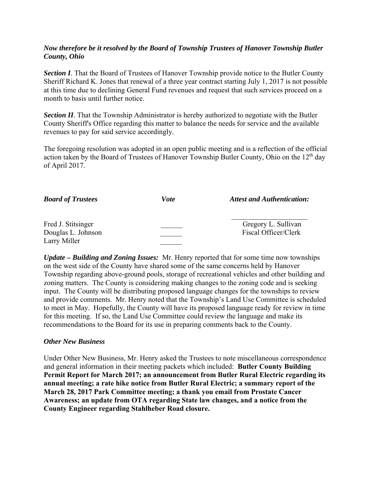# *Now therefore be it resolved by the Board of Township Trustees of Hanover Township Butler County, Ohio*

**Section I**. That the Board of Trustees of Hanover Township provide notice to the Butler County Sheriff Richard K. Jones that renewal of a three year contract starting July 1, 2017 is not possible at this time due to declining General Fund revenues and request that such services proceed on a month to basis until further notice.

**Section II**. That the Township Administrator is hereby authorized to negotiate with the Butler County Sheriff's Office regarding this matter to balance the needs for service and the available revenues to pay for said service accordingly.

The foregoing resolution was adopted in an open public meeting and is a reflection of the official action taken by the Board of Trustees of Hanover Township Butler County, Ohio on the 12<sup>th</sup> day of April 2017.

| <b>Board of Trustees</b>                                 | Vote | <b>Attest and Authentication:</b>           |
|----------------------------------------------------------|------|---------------------------------------------|
| Fred J. Stitsinger<br>Douglas L. Johnson<br>Larry Miller |      | Gregory L. Sullivan<br>Fiscal Officer/Clerk |

*Update – Building and Zoning Issues:* Mr. Henry reported that for some time now townships on the west side of the County have shared some of the same concerns held by Hanover Township regarding above-ground pools, storage of recreational vehicles and other building and zoning matters. The County is considering making changes to the zoning code and is seeking input. The County will be distributing proposed language changes for the townships to review and provide comments. Mr. Henry noted that the Township's Land Use Committee is scheduled to meet in May. Hopefully, the County will have its proposed language ready for review in time for this meeting. If so, the Land Use Committee could review the language and make its recommendations to the Board for its use in preparing comments back to the County.

### *Other New Business*

Under Other New Business, Mr. Henry asked the Trustees to note miscellaneous correspondence and general information in their meeting packets which included: **Butler County Building Permit Report for March 2017; an announcement from Butler Rural Electric regarding its annual meeting; a rate hike notice from Butler Rural Electric; a summary report of the March 28, 2017 Park Committee meeting; a thank you email from Prostate Cancer Awareness; an update from OTA regarding State law changes, and a notice from the County Engineer regarding Stahlheber Road closure.**